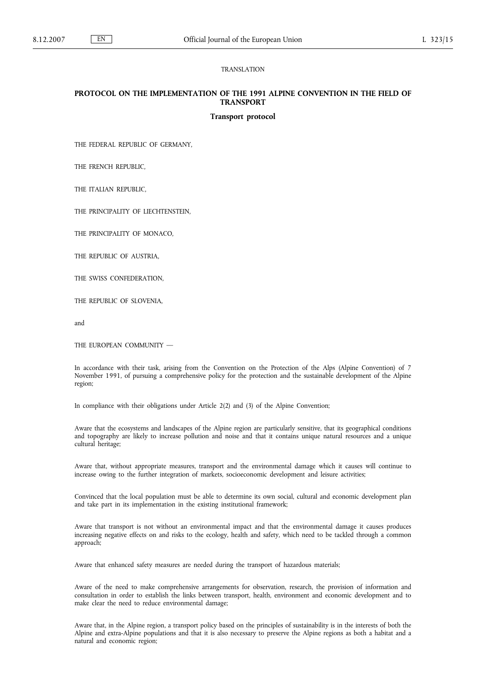## TRANSLATION

# **PROTOCOL ON THE IMPLEMENTATION OF THE 1991 ALPINE CONVENTION IN THE FIELD OF TRANSPORT**

#### **Transport protocol**

THE FEDERAL REPUBLIC OF GERMANY,

THE FRENCH REPUBLIC,

THE ITALIAN REPUBLIC,

THE PRINCIPALITY OF LIECHTENSTEIN,

THE PRINCIPALITY OF MONACO,

THE REPUBLIC OF AUSTRIA,

THE SWISS CONFEDERATION,

THE REPUBLIC OF SLOVENIA,

and

THE EUROPEAN COMMUNITY —

In accordance with their task, arising from the Convention on the Protection of the Alps (Alpine Convention) of 7 November 1991, of pursuing a comprehensive policy for the protection and the sustainable development of the Alpine region;

In compliance with their obligations under Article 2(2) and (3) of the Alpine Convention;

Aware that the ecosystems and landscapes of the Alpine region are particularly sensitive, that its geographical conditions and topography are likely to increase pollution and noise and that it contains unique natural resources and a unique cultural heritage;

Aware that, without appropriate measures, transport and the environmental damage which it causes will continue to increase owing to the further integration of markets, socioeconomic development and leisure activities;

Convinced that the local population must be able to determine its own social, cultural and economic development plan and take part in its implementation in the existing institutional framework;

Aware that transport is not without an environmental impact and that the environmental damage it causes produces increasing negative effects on and risks to the ecology, health and safety, which need to be tackled through a common approach;

Aware that enhanced safety measures are needed during the transport of hazardous materials;

Aware of the need to make comprehensive arrangements for observation, research, the provision of information and consultation in order to establish the links between transport, health, environment and economic development and to make clear the need to reduce environmental damage;

Aware that, in the Alpine region, a transport policy based on the principles of sustainability is in the interests of both the Alpine and extra-Alpine populations and that it is also necessary to preserve the Alpine regions as both a habitat and a natural and economic region;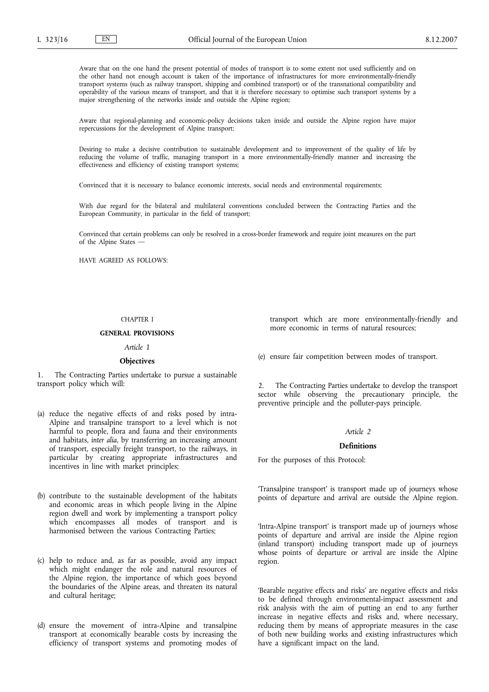Aware that on the one hand the present potential of modes of transport is to some extent not used sufficiently and on the other hand not enough account is taken of the importance of infrastructures for more environmentally-friendly transport systems (such as railway transport, shipping and combined transport) or of the transnational compatibility and operability of the various means of transport, and that it is therefore necessary to optimise such transport systems by a major strengthening of the networks inside and outside the Alpine region;

Aware that regional-planning and economic-policy decisions taken inside and outside the Alpine region have major repercussions for the development of Alpine transport;

Desiring to make a decisive contribution to sustainable development and to improvement of the quality of life by reducing the volume of traffic, managing transport in a more environmentally-friendly manner and increasing the effectiveness and efficiency of existing transport systems;

Convinced that it is necessary to balance economic interests, social needs and environmental requirements;

With due regard for the bilateral and multilateral conventions concluded between the Contracting Parties and the European Community, in particular in the field of transport;

Convinced that certain problems can only be resolved in a cross-border framework and require joint measures on the part of the Alpine States —

HAVE AGREED AS FOLLOWS:

## CHAPTER I

## **GENERAL PROVISIONS**

*Article 1*

#### **Objectives**

1. The Contracting Parties undertake to pursue a sustainable transport policy which will:

- (a) reduce the negative effects of and risks posed by intra-Alpine and transalpine transport to a level which is not harmful to people, flora and fauna and their environments and habitats, *inter alia*, by transferring an increasing amount of transport, especially freight transport, to the railways, in particular by creating appropriate infrastructures and incentives in line with market principles;
- (b) contribute to the sustainable development of the habitats and economic areas in which people living in the Alpine region dwell and work by implementing a transport policy which encompasses all modes of transport and is harmonised between the various Contracting Parties;
- (c) help to reduce and, as far as possible, avoid any impact which might endanger the role and natural resources of the Alpine region, the importance of which goes beyond the boundaries of the Alpine areas, and threaten its natural and cultural heritage;
- (d) ensure the movement of intra-Alpine and transalpine transport at economically bearable costs by increasing the efficiency of transport systems and promoting modes of

transport which are more environmentally-friendly and more economic in terms of natural resources:

(e) ensure fair competition between modes of transport.

2. The Contracting Parties undertake to develop the transport sector while observing the precautionary principle, the preventive principle and the polluter-pays principle.

## *Article 2*

## **Definitions**

For the purposes of this Protocol:

'Transalpine transport' is transport made up of journeys whose points of departure and arrival are outside the Alpine region.

'Intra-Alpine transport' is transport made up of journeys whose points of departure and arrival are inside the Alpine region (inland transport) including transport made up of journeys whose points of departure or arrival are inside the Alpine region.

'Bearable negative effects and risks' are negative effects and risks to be defined through environmental-impact assessment and risk analysis with the aim of putting an end to any further increase in negative effects and risks and, where necessary, reducing them by means of appropriate measures in the case of both new building works and existing infrastructures which have a significant impact on the land.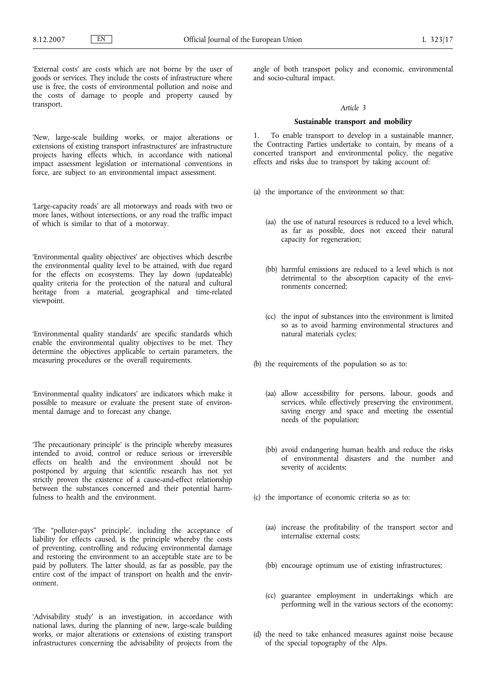'External costs' are costs which are not borne by the user of goods or services. They include the costs of infrastructure where use is free, the costs of environmental pollution and noise and the costs of damage to people and property caused by transport.

'New, large-scale building works, or major alterations or extensions of existing transport infrastructures' are infrastructure projects having effects which, in accordance with national impact assessment legislation or international conventions in force, are subject to an environmental impact assessment.

'Large-capacity roads' are all motorways and roads with two or more lanes, without intersections, or any road the traffic impact of which is similar to that of a motorway.

'Environmental quality objectives' are objectives which describe the environmental quality level to be attained, with due regard for the effects on ecosystems. They lay down (updateable) quality criteria for the protection of the natural and cultural heritage from a material, geographical and time-related viewpoint.

'Environmental quality standards' are specific standards which enable the environmental quality objectives to be met. They determine the objectives applicable to certain parameters, the measuring procedures or the overall requirements.

'Environmental quality indicators' are indicators which make it possible to measure or evaluate the present state of environmental damage and to forecast any change.

'The precautionary principle' is the principle whereby measures intended to avoid, control or reduce serious or irreversible effects on health and the environment should not be postponed by arguing that scientific research has not yet strictly proven the existence of a cause-and-effect relationship between the substances concerned and their potential harmfulness to health and the environment.

'The "polluter-pays" principle', including the acceptance of liability for effects caused, is the principle whereby the costs of preventing, controlling and reducing environmental damage and restoring the environment to an acceptable state are to be paid by polluters. The latter should, as far as possible, pay the entire cost of the impact of transport on health and the environment.

'Advisability study' is an investigation, in accordance with national laws, during the planning of new, large-scale building works, or major alterations or extensions of existing transport infrastructures concerning the advisability of projects from the angle of both transport policy and economic, environmental and socio-cultural impact.

#### *Article 3*

#### **Sustainable transport and mobility**

1. To enable transport to develop in a sustainable manner, the Contracting Parties undertake to contain, by means of a concerted transport and environmental policy, the negative effects and risks due to transport by taking account of:

- (a) the importance of the environment so that:
	- (aa) the use of natural resources is reduced to a level which, as far as possible, does not exceed their natural capacity for regeneration;
	- (bb) harmful emissions are reduced to a level which is not detrimental to the absorption capacity of the environments concerned;
	- (cc) the input of substances into the environment is limited so as to avoid harming environmental structures and natural materials cycles;
- (b) the requirements of the population so as to:
	- (aa) allow accessibility for persons, labour, goods and services, while effectively preserving the environment, saving energy and space and meeting the essential needs of the population;
	- (bb) avoid endangering human health and reduce the risks of environmental disasters and the number and severity of accidents;
- (c) the importance of economic criteria so as to:
	- (aa) increase the profitability of the transport sector and internalise external costs;
	- (bb) encourage optimum use of existing infrastructures;
	- (cc) guarantee employment in undertakings which are performing well in the various sectors of the economy;
- (d) the need to take enhanced measures against noise because of the special topography of the Alps.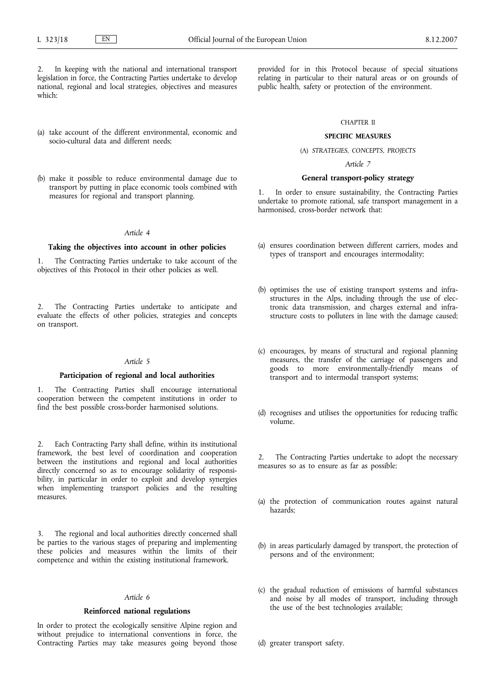In keeping with the national and international transport legislation in force, the Contracting Parties undertake to develop national, regional and local strategies, objectives and measures which:

- (a) take account of the different environmental, economic and socio-cultural data and different needs;
- (b) make it possible to reduce environmental damage due to transport by putting in place economic tools combined with measures for regional and transport planning.

#### *Article 4*

#### **Taking the objectives into account in other policies**

1. The Contracting Parties undertake to take account of the objectives of this Protocol in their other policies as well.

2. The Contracting Parties undertake to anticipate and evaluate the effects of other policies, strategies and concepts on transport.

#### *Article 5*

## **Participation of regional and local authorities**

The Contracting Parties shall encourage international cooperation between the competent institutions in order to find the best possible cross-border harmonised solutions.

2. Each Contracting Party shall define, within its institutional framework, the best level of coordination and cooperation between the institutions and regional and local authorities directly concerned so as to encourage solidarity of responsibility, in particular in order to exploit and develop synergies when implementing transport policies and the resulting measures.

The regional and local authorities directly concerned shall be parties to the various stages of preparing and implementing these policies and measures within the limits of their competence and within the existing institutional framework.

# *Article 6*

#### **Reinforced national regulations**

In order to protect the ecologically sensitive Alpine region and without prejudice to international conventions in force, the Contracting Parties may take measures going beyond those

provided for in this Protocol because of special situations relating in particular to their natural areas or on grounds of public health, safety or protection of the environment.

## CHAPTER II

# **SPECIFIC MEASURES**

# (A) *STRATEGIES, CONCEPTS, PROJECTS*

*Article 7*

#### **General transport-policy strategy**

In order to ensure sustainability, the Contracting Parties undertake to promote rational, safe transport management in a harmonised, cross-border network that:

- (a) ensures coordination between different carriers, modes and types of transport and encourages intermodality;
- (b) optimises the use of existing transport systems and infrastructures in the Alps, including through the use of electronic data transmission, and charges external and infrastructure costs to polluters in line with the damage caused;
- (c) encourages, by means of structural and regional planning measures, the transfer of the carriage of passengers and goods to more environmentally-friendly means of transport and to intermodal transport systems;
- (d) recognises and utilises the opportunities for reducing traffic volume.

2. The Contracting Parties undertake to adopt the necessary measures so as to ensure as far as possible:

- (a) the protection of communication routes against natural hazards;
- (b) in areas particularly damaged by transport, the protection of persons and of the environment;
- (c) the gradual reduction of emissions of harmful substances and noise by all modes of transport, including through the use of the best technologies available;
- (d) greater transport safety.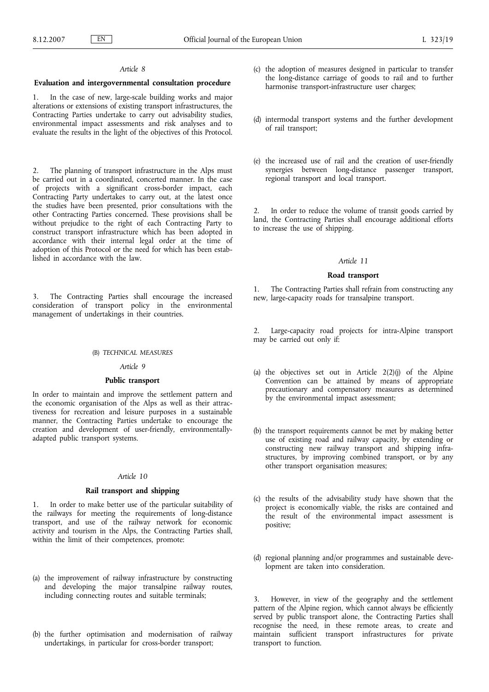### *Article 8*

#### **Evaluation and intergovernmental consultation procedure**

1. In the case of new, large-scale building works and major alterations or extensions of existing transport infrastructures, the Contracting Parties undertake to carry out advisability studies, environmental impact assessments and risk analyses and to evaluate the results in the light of the objectives of this Protocol.

2. The planning of transport infrastructure in the Alps must be carried out in a coordinated, concerted manner. In the case of projects with a significant cross-border impact, each Contracting Party undertakes to carry out, at the latest once the studies have been presented, prior consultations with the other Contracting Parties concerned. These provisions shall be without prejudice to the right of each Contracting Party to construct transport infrastructure which has been adopted in accordance with their internal legal order at the time of adoption of this Protocol or the need for which has been established in accordance with the law.

3. The Contracting Parties shall encourage the increased consideration of transport policy in the environmental management of undertakings in their countries.

#### (B) *TECHNICAL MEASURES*

## *Article 9*

#### **Public transport**

In order to maintain and improve the settlement pattern and the economic organisation of the Alps as well as their attractiveness for recreation and leisure purposes in a sustainable manner, the Contracting Parties undertake to encourage the creation and development of user-friendly, environmentallyadapted public transport systems.

#### *Article 10*

## **Rail transport and shipping**

1. In order to make better use of the particular suitability of the railways for meeting the requirements of long-distance transport, and use of the railway network for economic activity and tourism in the Alps, the Contracting Parties shall, within the limit of their competences, promote:

- (a) the improvement of railway infrastructure by constructing and developing the major transalpine railway routes, including connecting routes and suitable terminals;
- (b) the further optimisation and modernisation of railway undertakings, in particular for cross-border transport;
- (c) the adoption of measures designed in particular to transfer the long-distance carriage of goods to rail and to further harmonise transport-infrastructure user charges;
- (d) intermodal transport systems and the further development of rail transport;
- (e) the increased use of rail and the creation of user-friendly synergies between long-distance passenger transport, regional transport and local transport.

In order to reduce the volume of transit goods carried by land, the Contracting Parties shall encourage additional efforts to increase the use of shipping.

### *Article 11*

## **Road transport**

1. The Contracting Parties shall refrain from constructing any new, large-capacity roads for transalpine transport.

2. Large-capacity road projects for intra-Alpine transport may be carried out only if:

- (a) the objectives set out in Article 2(2)(j) of the Alpine Convention can be attained by means of appropriate precautionary and compensatory measures as determined by the environmental impact assessment;
- (b) the transport requirements cannot be met by making better use of existing road and railway capacity, by extending or constructing new railway transport and shipping infrastructures, by improving combined transport, or by any other transport organisation measures;
- (c) the results of the advisability study have shown that the project is economically viable, the risks are contained and the result of the environmental impact assessment is positive;
- (d) regional planning and/or programmes and sustainable development are taken into consideration.

3. However, in view of the geography and the settlement pattern of the Alpine region, which cannot always be efficiently served by public transport alone, the Contracting Parties shall recognise the need, in these remote areas, to create and maintain sufficient transport infrastructures for private transport to function.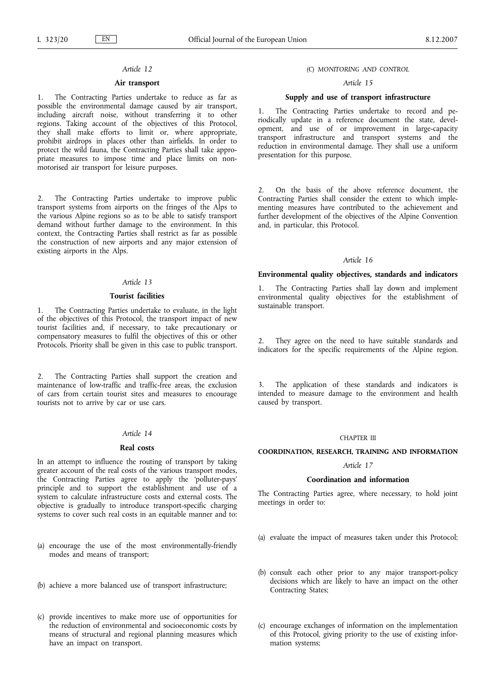# *Article 12*

# **Air transport**

1. The Contracting Parties undertake to reduce as far as possible the environmental damage caused by air transport, including aircraft noise, without transferring it to other regions. Taking account of the objectives of this Protocol, they shall make efforts to limit or, where appropriate, prohibit airdrops in places other than airfields. In order to protect the wild fauna, the Contracting Parties shall take appropriate measures to impose time and place limits on nonmotorised air transport for leisure purposes.

2. The Contracting Parties undertake to improve public transport systems from airports on the fringes of the Alps to the various Alpine regions so as to be able to satisfy transport demand without further damage to the environment. In this context, the Contracting Parties shall restrict as far as possible the construction of new airports and any major extension of existing airports in the Alps.

# *Article 13*

## **Tourist facilities**

1. The Contracting Parties undertake to evaluate, in the light of the objectives of this Protocol, the transport impact of new tourist facilities and, if necessary, to take precautionary or compensatory measures to fulfil the objectives of this or other Protocols. Priority shall be given in this case to public transport.

2. The Contracting Parties shall support the creation and maintenance of low-traffic and traffic-free areas, the exclusion of cars from certain tourist sites and measures to encourage tourists not to arrive by car or use cars.

#### *Article 14*

#### **Real costs**

In an attempt to influence the routing of transport by taking greater account of the real costs of the various transport modes, the Contracting Parties agree to apply the 'polluter-pays' principle and to support the establishment and use of a system to calculate infrastructure costs and external costs. The objective is gradually to introduce transport-specific charging systems to cover such real costs in an equitable manner and to:

- (a) encourage the use of the most environmentally-friendly modes and means of transport;
- (b) achieve a more balanced use of transport infrastructure;
- (c) provide incentives to make more use of opportunities for the reduction of environmental and socioeconomic costs by means of structural and regional planning measures which have an impact on transport.

## (C) *MONITORING AND CONTROL*

# *Article 15*

# **Supply and use of transport infrastructure**

1. The Contracting Parties undertake to record and periodically update in a reference document the state, development, and use of or improvement in large-capacity transport infrastructure and transport systems and the reduction in environmental damage. They shall use a uniform presentation for this purpose.

2. On the basis of the above reference document, the Contracting Parties shall consider the extent to which implementing measures have contributed to the achievement and further development of the objectives of the Alpine Convention and, in particular, this Protocol.

# *Article 16*

#### **Environmental quality objectives, standards and indicators**

The Contracting Parties shall lay down and implement environmental quality objectives for the establishment of sustainable transport.

They agree on the need to have suitable standards and indicators for the specific requirements of the Alpine region.

The application of these standards and indicators is intended to measure damage to the environment and health caused by transport.

#### CHAPTER III

#### **COORDINATION, RESEARCH, TRAINING AND INFORMATION**

# *Article 17*

#### **Coordination and information**

The Contracting Parties agree, where necessary, to hold joint meetings in order to:

- (a) evaluate the impact of measures taken under this Protocol;
- (b) consult each other prior to any major transport-policy decisions which are likely to have an impact on the other Contracting States;
- (c) encourage exchanges of information on the implementation of this Protocol, giving priority to the use of existing information systems;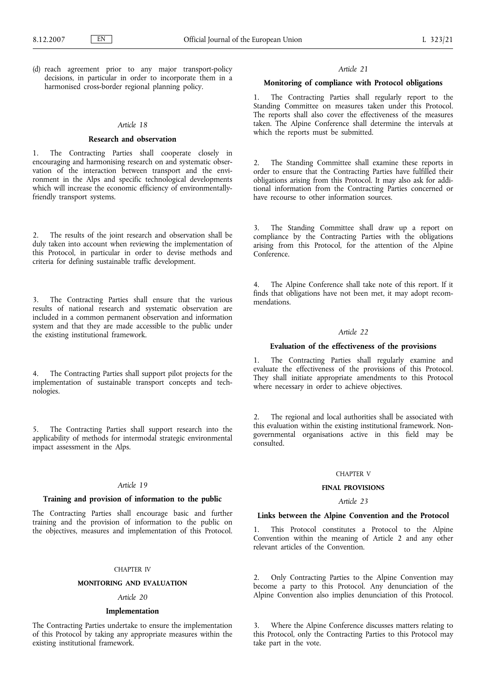(d) reach agreement prior to any major transport-policy decisions, in particular in order to incorporate them in a harmonised cross-border regional planning policy.

#### *Article 18*

# **Research and observation**

1. The Contracting Parties shall cooperate closely in encouraging and harmonising research on and systematic observation of the interaction between transport and the environment in the Alps and specific technological developments which will increase the economic efficiency of environmentallyfriendly transport systems.

2. The results of the joint research and observation shall be duly taken into account when reviewing the implementation of this Protocol, in particular in order to devise methods and criteria for defining sustainable traffic development.

3. The Contracting Parties shall ensure that the various results of national research and systematic observation are included in a common permanent observation and information system and that they are made accessible to the public under the existing institutional framework.

4. The Contracting Parties shall support pilot projects for the implementation of sustainable transport concepts and technologies.

5. The Contracting Parties shall support research into the applicability of methods for intermodal strategic environmental impact assessment in the Alps.

#### *Article 19*

# **Training and provision of information to the public**

The Contracting Parties shall encourage basic and further training and the provision of information to the public on the objectives, measures and implementation of this Protocol.

#### CHAPTER IV

#### **MONITORING AND EVALUATION**

# *Article 20*

#### **Implementation**

The Contracting Parties undertake to ensure the implementation of this Protocol by taking any appropriate measures within the existing institutional framework.

#### *Article 21*

### **Monitoring of compliance with Protocol obligations**

1. The Contracting Parties shall regularly report to the Standing Committee on measures taken under this Protocol. The reports shall also cover the effectiveness of the measures taken. The Alpine Conference shall determine the intervals at which the reports must be submitted.

2. The Standing Committee shall examine these reports in order to ensure that the Contracting Parties have fulfilled their obligations arising from this Protocol. It may also ask for additional information from the Contracting Parties concerned or have recourse to other information sources.

3. The Standing Committee shall draw up a report on compliance by the Contracting Parties with the obligations arising from this Protocol, for the attention of the Alpine Conference.

The Alpine Conference shall take note of this report. If it finds that obligations have not been met, it may adopt recommendations.

#### *Article 22*

# **Evaluation of the effectiveness of the provisions**

1. The Contracting Parties shall regularly examine and evaluate the effectiveness of the provisions of this Protocol. They shall initiate appropriate amendments to this Protocol where necessary in order to achieve objectives.

The regional and local authorities shall be associated with this evaluation within the existing institutional framework. Nongovernmental organisations active in this field may be consulted.

# CHAPTER V

## **FINAL PROVISIONS**

# *Article 23*

# **Links between the Alpine Convention and the Protocol**

This Protocol constitutes a Protocol to the Alpine Convention within the meaning of Article 2 and any other relevant articles of the Convention.

2. Only Contracting Parties to the Alpine Convention may become a party to this Protocol. Any denunciation of the Alpine Convention also implies denunciation of this Protocol.

3. Where the Alpine Conference discusses matters relating to this Protocol, only the Contracting Parties to this Protocol may take part in the vote.